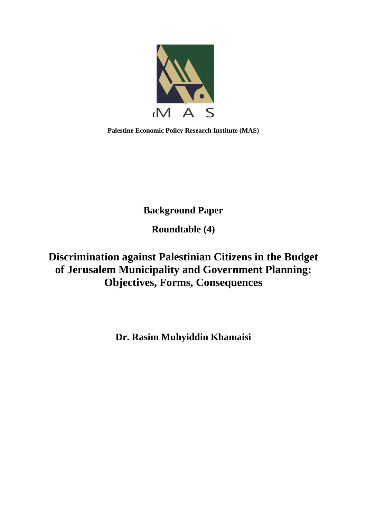

**Palestine Economic Policy Research Institute (MAS)**

**Background Paper**

**Roundtable (4)**

**Discrimination against Palestinian Citizens in the Budget of Jerusalem Municipality and Government Planning: Objectives, Forms, Consequences**

**Dr. Rasim Muhyiddin Khamaisi**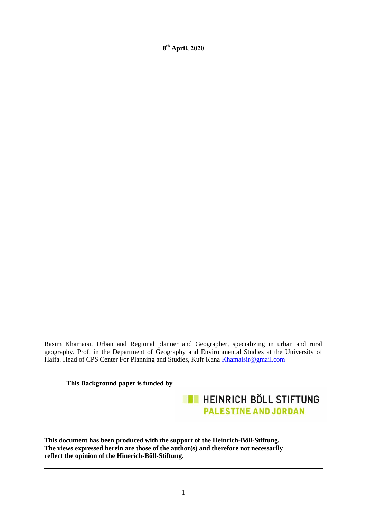$8<sup>th</sup>$  **April, 2020** 

Rasim Khamaisi, Urban and Regional planner and Geographer, specializing in urban and rural geography. Prof. in the Department of Geography and Environmental Studies at the University of Haifa. Head of CPS Center For Planning and Studies, Kufr Kana [Khamaisir@gmail.com](mailto:Khamaisir@gmail.com)

**This Background paper is funded by** 

**EN HEINRICH BÖLL STIFTUNG PALESTINE AND JORDAN** 

**This document has been produced with the support of the Heinrich-Böll-Stiftung. The views expressed herein are those of the author(s) and therefore not necessarily reflect the opinion of the Hinerich-Böll-Stiftung.**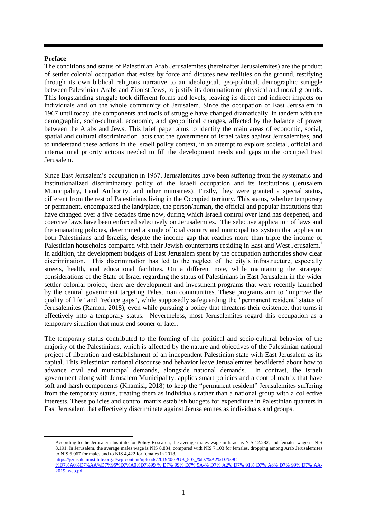#### **Preface**

The conditions and status of Palestinian Arab Jerusalemites (hereinafter Jerusalemites) are the product of settler colonial occupation that exists by force and dictates new realities on the ground, testifying through its own biblical religious narrative to an ideological, geo-political, demographic struggle between Palestinian Arabs and Zionist Jews, to justify its domination on physical and moral grounds. This longstanding struggle took different forms and levels, leaving its direct and indirect impacts on individuals and on the whole community of Jerusalem. Since the occupation of East Jerusalem in 1967 until today, the components and tools of struggle have changed dramatically, in tandem with the demographic, socio-cultural, economic, and geopolitical changes, affected by the balance of power between the Arabs and Jews. This brief paper aims to identify the main areas of economic, social, spatial and cultural discrimination acts that the government of Israel takes against Jerusalemites, and to understand these actions in the Israeli policy context, in an attempt to explore societal, official and international priority actions needed to fill the development needs and gaps in the occupied East Jerusalem.

Since East Jerusalem's occupation in 1967, Jerusalemites have been suffering from the systematic and institutionalized discriminatory policy of the Israeli occupation and its institutions (Jerusalem Municipality, Land Authority, and other ministries). Firstly, they were granted a special status, different from the rest of Palestinians living in the Occupied territory. This status, whether temporary or permanent, encompassed the land/place, the person/human, the official and popular institutions that have changed over a five decades time now, during which Israeli control over land has deepened, and coercive laws have been enforced selectively on Jerusalemites. The selective application of laws and the emanating policies, determined a single official country and municipal tax system that applies on both Palestinians and Israelis, despite the income gap that reaches more than triple the income of Palestinian households compared with their Jewish counterparts residing in East and West Jerusalem.<sup>1</sup> In addition, the development budgets of East Jerusalem spent by the occupation authorities show clear discrimination. This discrimination has led to the neglect of the city's infrastructure, especially streets, health, and educational facilities. On a different note, while maintaining the strategic considerations of the State of Israel regarding the status of Palestinians in East Jerusalem in the wider settler colonial project, there are development and investment programs that were recently launched by the central government targeting Palestinian communities. These programs aim to "improve the quality of life" and "reduce gaps", while supposedly safeguarding the "permanent resident" status of Jerusalemites (Ramon, 2018), even while pursuing a policy that threatens their existence, that turns it effectively into a temporary status. Nevertheless, most Jerusalemites regard this occupation as a temporary situation that must end sooner or later.

The temporary status contributed to the forming of the political and socio-cultural behavior of the majority of the Palestinians, which is affected by the nature and objectives of the Palestinian national project of liberation and establishment of an independent Palestinian state with East Jerusalem as its capital. This Palestinian national discourse and behavior leave Jerusalemites bewildered about how to advance civil and municipal demands, alongside national demands. In contrast, the Israeli government along with Jerusalem Municipality, applies smart policies and a control matrix that have soft and harsh components (Khamisi, 2018) to keep the "permanent resident" Jerusalemites suffering from the temporary status, treating them as individuals rather than a national group with a collective interests. These policies and control matrix establish budgets for expenditure in Palestinian quarters in East Jerusalem that effectively discriminate against Jerusalemites as individuals and groups.

1 <sup>1</sup> According to the Jerusalem Institute for Policy Research, the average males wage in Israel is NIS 12.282, and females wage is NIS 8.191. In Jerusalem, the average males wage is NIS 8,834, compared with NIS 7,103 for females, dropping among Arab Jerusalemites to NIS 6,067 for males and to NIS 4,422 for females in 2018. [https://jerusaleminstitute.org.il/wp-content/uploads/2019/05/PUB\\_503\\_%D7%A2%D7%9C-](https://jerusaleminstitute.org.il/wp-content/uploads/2019/05/PUB_503_%D7%A2%D7%9C-%D7%A0%D7%AA%D7%95%D7%A0%D7%99%20%25%20D7%25%2099%25%20D7%25%209A-%25%20D7%25%20A2%25%20D7%25%2091%25%20D7%25%20A8%25%20D7%25%2099%25%20D7%25%20AA-2019_web.pdf) [%D7%A0%D7%AA%D7%95%D7%A0%D7%99 % D7% 99% D7% 9A-% D7% A2% D7% 91% D7% A8% D7% 99% D7% AA-](https://jerusaleminstitute.org.il/wp-content/uploads/2019/05/PUB_503_%D7%A2%D7%9C-%D7%A0%D7%AA%D7%95%D7%A0%D7%99%20%25%20D7%25%2099%25%20D7%25%209A-%25%20D7%25%20A2%25%20D7%25%2091%25%20D7%25%20A8%25%20D7%25%2099%25%20D7%25%20AA-2019_web.pdf)

[<sup>2019</sup>\\_web.pdf](https://jerusaleminstitute.org.il/wp-content/uploads/2019/05/PUB_503_%D7%A2%D7%9C-%D7%A0%D7%AA%D7%95%D7%A0%D7%99%20%25%20D7%25%2099%25%20D7%25%209A-%25%20D7%25%20A2%25%20D7%25%2091%25%20D7%25%20A8%25%20D7%25%2099%25%20D7%25%20AA-2019_web.pdf)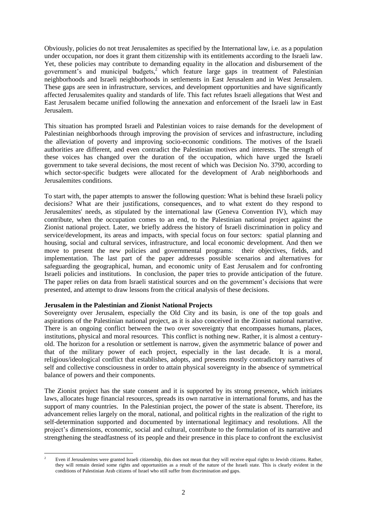Obviously, policies do not treat Jerusalemites as specified by the International law, i.e. as a population under occupation, nor does it grant them citizenship with its entitlements according to the Israeli law. Yet, these policies may contribute to demanding equality in the allocation and disbursement of the government's and municipal budgets, $2$  which feature large gaps in treatment of Palestinian neighborhoods and Israeli neighborhoods in settlements in East Jerusalem and in West Jerusalem. These gaps are seen in infrastructure, services, and development opportunities and have significantly affected Jerusalemites quality and standards of life. This fact refutes Israeli allegations that West and East Jerusalem became unified following the annexation and enforcement of the Israeli law in East Jerusalem.

This situation has prompted Israeli and Palestinian voices to raise demands for the development of Palestinian neighborhoods through improving the provision of services and infrastructure, including the alleviation of poverty and improving socio-economic conditions. The motives of the Israeli authorities are different, and even contradict the Palestinian motives and interests. The strength of these voices has changed over the duration of the occupation, which have urged the Israeli government to take several decisions, the most recent of which was Decision No. 3790, according to which sector-specific budgets were allocated for the development of Arab neighborhoods and Jerusalemites conditions.

To start with, the paper attempts to answer the following question: What is behind these Israeli policy decisions? What are their justifications, consequences, and to what extent do they respond to Jerusalemites' needs, as stipulated by the international law (Geneva Convention IV), which may contribute, when the occupation comes to an end, to the Palestinian national project against the Zionist national project. Later, we briefly address the history of Israeli discrimination in policy and service/development, its areas and impacts, with special focus on four sectors: spatial planning and housing, social and cultural services, infrastructure, and local economic development. And then we move to present the new policies and governmental programs: their objectives, fields, and implementation. The last part of the paper addresses possible scenarios and alternatives for safeguarding the geographical, human, and economic unity of East Jerusalem and for confronting Israeli policies and institutions. In conclusion, the paper tries to provide anticipation of the future. The paper relies on data from Israeli statistical sources and on the government's decisions that were presented, and attempt to draw lessons from the critical analysis of these decisions.

## **Jerusalem in the Palestinian and Zionist National Projects**

Sovereignty over Jerusalem, especially the Old City and its basin, is one of the top goals and aspirations of the Palestinian national project, as it is also conceived in the Zionist national narrative. There is an ongoing conflict between the two over sovereignty that encompasses humans, places, institutions, physical and moral resources. This conflict is nothing new. Rather, it is almost a centuryold. The horizon for a resolution or settlement is narrow, given the asymmetric balance of power and that of the military power of each project, especially in the last decade. It is a moral, religious/ideological conflict that establishes, adopts, and presents mostly contradictory narratives of self and collective consciousness in order to attain physical sovereignty in the absence of symmetrical balance of powers and their components.

The Zionist project has the state consent and it is supported by its strong presence**,** which initiates laws, allocates huge financial resources, spreads its own narrative in international forums, and has the support of many countries. In the Palestinian project, the power of the state is absent. Therefore, its advancement relies largely on the moral, national, and political rights in the realization of the right to self-determination supported and documented by international legitimacy and resolutions. All the project's dimensions, economic, social and cultural, contribute to the formulation of its narrative and strengthening the steadfastness of its people and their presence in this place to confront the exclusivist

**<sup>.</sup>** <sup>2</sup> Even if Jerusalemites were granted Israeli citizenship, this does not mean that they will receive equal rights to Jewish citizens. Rather, they will remain denied some rights and opportunities as a result of the nature of the Israeli state. This is clearly evident in the conditions of Palestinian Arab citizens of Israel who still suffer from discrimination and gaps.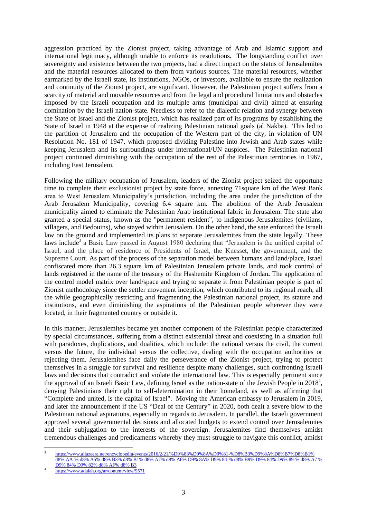aggression practiced by the Zionist project, taking advantage of Arab and Islamic support and international legitimacy, although unable to enforce its resolutions. The longstanding conflict over sovereignty and existence between the two projects, had a direct impact on the status of Jerusalemites and the material resources allocated to them from various sources. The material resources, whether earmarked by the Israeli state, its institutions, NGOs, or investors, available to ensure the realization and continuity of the Zionist project, are significant. However, the Palestinian project suffers from a scarcity of material and movable resources and from the legal and procedural limitations and obstacles imposed by the Israeli occupation and its multiple arms (municipal and civil) aimed at ensuring domination by the Israeli nation-state. Needless to refer to the dialectic relation and synergy between the State of Israel and the Zionist project, which has realized part of its programs by establishing the State of Israel in 1948 at the expense of realizing Palestinian national goals (al Nakba). This led to the partition of Jerusalem and the occupation of the Western part of the city, in violation of UN Resolution No. 181 of 1947, which proposed dividing Palestine into Jewish and Arab states while keeping Jerusalem and its surroundings under international/UN auspices. The Palestinian national project continued diminishing with the occupation of the rest of the Palestinian territories in 1967, including East Jerusalem.

Following the military occupation of Jerusalem, leaders of the Zionist project seized the opportune time to complete their exclusionist project by state force, annexing 71square km of the West Bank area to West Jerusalem Municipality's jurisdiction, including the area under the jurisdiction of the Arab Jerusalem Municipality, covering 6.4 square km. The abolition of the Arab Jerusalem municipality aimed to eliminate the Palestinian Arab institutional fabric in Jerusalem. The state also granted a special status, known as the "permanent resident", to indigenous Jerusalemites (civilians, villagers, and Bedouins), who stayed within Jerusalem. On the other hand, the sate enforced the Israeli law on the ground and implemented its plans to separate Jerusalemites from the state legally. These laws include<sup>3</sup> a Basic Law passed in August 1980 declaring that "Jerusalem is the unified capital of Israel, and the place of residence of Presidents of Israel, the Knesset, the government, and the Supreme Court. As part of the process of the separation model between humans and land/place, Israel confiscated more than 26.3 square km of Palestinian Jerusalem private lands, and took control of lands registered in the name of the treasury of the Hashemite Kingdom of Jordan**.** The application of the control model matrix over land/space and trying to separate it from Palestinian people is part of Zionist methodology since the settler movement inception, which contributed to its regional reach, all the while geographically restricting and fragmenting the Palestinian national project, its stature and institutions, and even diminishing the aspirations of the Palestinian people wherever they were located, in their fragmented country or outside it.

In this manner, Jerusalemites became yet another component of the Palestinian people characterized by special circumstances, suffering from a distinct existential threat and coexisting in a situation full with paradoxes, duplications, and dualities, which include: the national versus the civil, the current versus the future, the individual versus the collective, dealing with the occupation authorities or rejecting them. Jerusalemites face daily the perseverance of the Zionist project, trying to protect themselves in a struggle for survival and resilience despite many challenges, such confronting Israeli laws and decisions that contradict and violate the international law. This is especially pertinent since the approval of an [Israeli Basic Law,](file:///C:/Users/shams/AppData/Local/Microsoft/Windows/Temporary%20Internet%20Files/Content.Outlook/AppData/Local/Microsoft/Windows/INetCache/Content.Outlook/AppData/Local/Microsoft/Windows/INetCache/Content.Outlook/J9RT20YQ/Basic%20laws:Israel) defining Israel as the nation-state of the Jewish People in  $2018^4$ , denying Palestinians their right to self-determination in their homeland, as well as affirming that "Complete and united, is the capital of Israel". Moving the American embassy to Jerusalem in 2019, and later the announcement if the US "Deal of the Century" in 2020, both dealt a severe blow to the Palestinian national aspirations, especially in regards to Jerusalem. In parallel, the Israeli government approved several governmental decisions and allocated budgets to extend control over Jerusalemites and their subjugation to the interests of the sovereign. Jerusalemites find themselves amidst tremendous challenges and predicaments whereby they must struggle to navigate this conflict, amidst

 $\overline{a}$ 

<sup>3</sup> [https://www.aljazeera.net/encyclopedia/events/2016/2/21/%D9%83%D9%8A%D9%81-%D8%B3%D9%8A%D8%B7%D8%B1%](file:///C:/Users/haneen.masri/AppData/Local/Microsoft/Windows/INetCache/Content.Outlook/J9RT20YQ/https:/www.aljazeera.net/encyclopedia/events/2016/2/21/ÙÙÙ-Ø³ÙØ·Ø±%25%20d8%25%20AA-%25%20d8%25%20A5%25%20d8%25%20B3%25%20d8%25%20B1%25%20d8%25%20A7%25%20d8%25%20A6%25%20D9%25%208A%25%20D9%25%2084-%25%20d8%25%20B9%25%20D9%25%2084%25%20D9%25%2089-%25%20d8%25%20A7%20%25%20D9%25%2084%25%20D9%25%2082%25%20d8%25%20AF%25%20d8%25%20B3)  [d8% AA-% d8% A5% d8% B3% d8% B1% d8% A7% d8% A6% D9% 8A% D9% 84-% d8% B9% D9% 84% D9% 89-% d8% A7 %](file:///C:/Users/haneen.masri/AppData/Local/Microsoft/Windows/INetCache/Content.Outlook/J9RT20YQ/https:/www.aljazeera.net/encyclopedia/events/2016/2/21/ÙÙÙ-Ø³ÙØ·Ø±%25%20d8%25%20AA-%25%20d8%25%20A5%25%20d8%25%20B3%25%20d8%25%20B1%25%20d8%25%20A7%25%20d8%25%20A6%25%20D9%25%208A%25%20D9%25%2084-%25%20d8%25%20B9%25%20D9%25%2084%25%20D9%25%2089-%25%20d8%25%20A7%20%25%20D9%25%2084%25%20D9%25%2082%25%20d8%25%20AF%25%20d8%25%20B3)  [D9% 84% D9% 82% d8% AF% d8% B3](file:///C:/Users/haneen.masri/AppData/Local/Microsoft/Windows/INetCache/Content.Outlook/J9RT20YQ/https:/www.aljazeera.net/encyclopedia/events/2016/2/21/ÙÙÙ-Ø³ÙØ·Ø±%25%20d8%25%20AA-%25%20d8%25%20A5%25%20d8%25%20B3%25%20d8%25%20B1%25%20d8%25%20A7%25%20d8%25%20A6%25%20D9%25%208A%25%20D9%25%2084-%25%20d8%25%20B9%25%20D9%25%2084%25%20D9%25%2089-%25%20d8%25%20A7%20%25%20D9%25%2084%25%20D9%25%2082%25%20d8%25%20AF%25%20d8%25%20B3) 

<sup>4</sup> <https://www.adalah.org/ar/content/view/9571>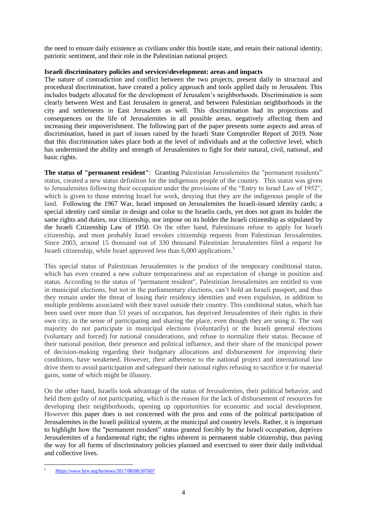the need to ensure daily existence as civilians under this hostile state, and retain their national identity, patriotic sentiment, and their role in the Palestinian national project.

## **Israeli discriminatory policies and services\development: areas and impacts**

The nature of contradiction and conflict between the two projects, present daily in structural and procedural discrimination, have created a policy approach and tools applied daily in Jerusalem. This includes budgets allocated for the development of Jerusalem's neighborhoods. Discrimination is seen clearly between West and East Jerusalem in general, and between Palestinian neighborhoods in the city and settlements in East Jerusalem as well. This discrimination had its projections and consequences on the life of Jerusalemites in all possible areas, negatively affecting them and increasing their impoverishment. The following part of the paper presents some aspects and areas of discrimination, based in part of issues raised by the Israeli State Comptroller Report of 2019. Note that this discrimination takes place both at the level of individuals and at the collective level, which has undermined the ability and strength of Jerusalemites to fight for their natural, civil, national, and basic rights.

**The status of "permanent resident"**: Granting Palestinian Jerusalemites the "permanent residents" status, created a new status definition for the indigenous people of the country. This status was given to Jerusalemites following their occupation under the provisions of the "Entry to Israel Law of 1952", which is given to those entering Israel for work, denying that they are the indigenous people of the land. Following the 1967 War, Israel imposed on Jerusalemites the Israeli-issued identity cards; a special identity card similar in design and color to the Israelis cards, yet does not grant its holder the same rights and duties, nor citizenship, nor impose on its holder the Israeli citizenship as stipulated by the Israeli Citizenship Law of 1950. On the other hand, Palestinians refuse to apply for Israeli citizenship, and most probably Israel revokes citizenship requests from Palestinian Jerusalemites. Since 2003, around 15 thousand out of 330 thousand Palestinian Jerusalemites filed a request for Israeli citizenship, while Israel approved less than 6,000 applications. 5

This special status of Palestinian Jerusalemites is the product of the temporary conditional status, which has even created a new culture temporariness and an expectation of change in position and status. According to the status of "permanent resident", Palestinian Jerusalemites are entitled to vote in municipal elections, but not in the parliamentary elections, can't hold an Israeli passport, and thus they remain under the threat of losing their residency identities and even expulsion, in addition to multiple problems associated with their travel outside their country. This conditional status, which has been used over more than 53 years of occupation, has deprived Jerusalemites of their rights in their own city, in the sense of participating and sharing the place, even though they are using it. The vast majority do not participate in municipal elections (voluntarily) or the Israeli general elections (voluntary and forced) for national considerations, and refuse to normalize their status. Because of their national position, their presence and political influence, and their share of the municipal power of decision-making regarding their budgetary allocations and disbursement for improving their conditions, have weakened. However, their adherence to the national project and international law drive them to avoid participation and safeguard their national rights refusing to sacrifice it for material gains, some of which might be illusory.

On the other hand, Israelis took advantage of the status of Jerusalemites, their political behavior, and held them guilty of not participating, which is the reason for the lack of disbursement of resources for developing their neighborhoods, opening up opportunities for economic and social development. However this paper does is not concerned with the pros and cons of the political participation of Jerusalemites in the Israeli political system, at the municipal and country levels. Rather, it is important to highlight how the "permanent resident" status granted forcibly by the Israeli occupation, deprives Jerusalemites of a fundamental right; the rights inherent in permanent stable citizenship, thus paving the way for all forms of discriminatory policies planned and exercised to steer their daily individual and collective lives.

<sup>1</sup> <sup>5</sup> [Https://www.hrw.org/he/news/2017/08/08/307607](file:///C:/Users/haneen.masri/AppData/Local/Microsoft/Windows/INetCache/Content.Outlook/J9RT20YQ/%09Https:/www.hrw.org/he/news/2017/08/08/307607)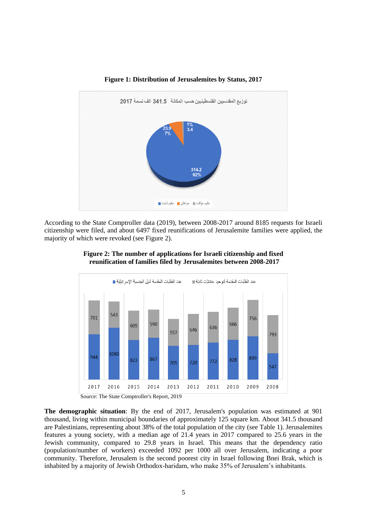

**Figure 1: Distribution of Jerusalemites by Status, 2017**

According to the State Comptroller data (2019), between 2008-2017 around 8185 requests for Israeli citizenship were filed, and about 6497 fixed reunifications of Jerusalemite families were applied, the majority of which were revoked (see Figure 2).



**Figure 2: The number of applications for Israeli citizenship and fixed reunification of families filed by Jerusalemites between 2008-2017**

Source: The State Comptroller's Report, 2019

**The demographic situation**: By the end of 2017, Jerusalem's population was estimated at 901 thousand, living within municipal boundaries of approximately 125 square km. About 341.5 thousand are Palestinians, representing about 38% of the total population of the city (see Table 1). Jerusalemites features a young society, with a median age of 21.4 years in 2017 compared to 25.6 years in the Jewish community, compared to 29.8 years in Israel. This means that the dependency ratio (population/number of workers) exceeded 1092 per 1000 all over Jerusalem, indicating a poor community. Therefore, Jerusalem is the second poorest city in Israel following Bnei Brak, which is inhabited by a majority of Jewish Orthodox-haridam, who make 35% of Jerusalem's inhabitants.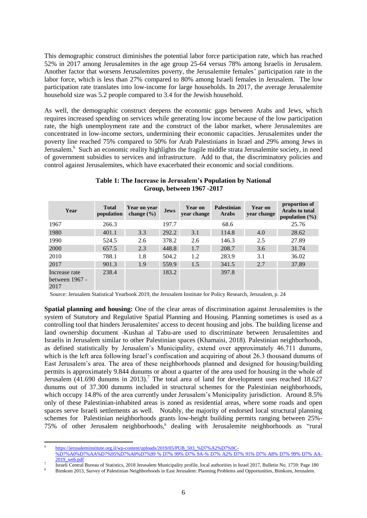This demographic construct diminishes the potential labor force participation rate, which has reached 52% in 2017 among Jerusalemites in the age group 25-64 versus 78% among Israelis in Jerusalem. Another factor that worsens Jerusalemites poverty, the Jerusalemite females' participation rate in the labor force, which is less than 27% compared to 80% among Israeli females in Jerusalem. The low participation rate translates into low-income for large households. In 2017, the average Jerusalemite household size was 5.2 people compared to 3.4 for the Jewish household.

As well, the demographic construct deepens the economic gaps between Arabs and Jews, which requires increased spending on services while generating low income because of the low participation rate, the high unemployment rate and the construct of the labor market, where Jerusalemites are concentrated in low-income sectors, undermining their economic capacities. Jerusalemites under the poverty line reached 75% compared to 50% for Arab Palestinians in Israel and 29% among Jews in Jerusalem.<sup>6</sup> Such an economic reality highlights the fragile middle strata Jerusalemite society, in need of government subsidies to services and infrastructure. Add to that, the discriminatory policies and control against Jerusalemites, which have exacerbated their economic and social conditions.

| Year                                      | <b>Total</b><br>population | Year on year<br>change $(\% )$ | <b>Jews</b> | Year on<br>year change | <b>Palestinian</b><br>Arabs | Year on<br>year change | proportion of<br>Arabs to total<br>population $(\% )$ |
|-------------------------------------------|----------------------------|--------------------------------|-------------|------------------------|-----------------------------|------------------------|-------------------------------------------------------|
| 1967                                      | 266.3                      |                                | 197.7       |                        | 68.6                        |                        | 25.76                                                 |
| 1980                                      | 401.1                      | 3.3                            | 292.2       | 3.1                    | 114.8                       | 4.0                    | 28.62                                                 |
| 1990                                      | 524.5                      | 2.6                            | 378.2       | 2.6                    | 146.3                       | 2.5                    | 27.89                                                 |
| 2000                                      | 657.5                      | 2.3                            | 448.8       | 1.7                    | 208.7                       | 3.6                    | 31.74                                                 |
| 2010                                      | 788.1                      | 1.8                            | 504.2       | 1.2                    | 283.9                       | 3.1                    | 36.02                                                 |
| 2017                                      | 901.3                      | 1.9                            | 559.9       | 1.5                    | 341.5                       | 2.7                    | 37.89                                                 |
| Increase rate<br>between $1967 -$<br>2017 | 238.4                      |                                | 183.2       |                        | 397.8                       |                        |                                                       |

#### **Table 1: The Increase in Jerusalem's Population by National Group, between 1967 -2017**

Source: Jerusalem Statistical Yearbook 2019, the Jerusalem Institute for Policy Research, Jerusalem, p. 24

**Spatial planning and housing:** One of the clear areas of discrimination against Jerusalemites is the system of Statutory and Regulative Spatial Planning and Housing. Planning sometimes is used as a controlling tool that hinders Jerusalemites' access to decent housing and jobs. The building license and land ownership document -Kushan al Tabu-are used to discriminate between Jerusalemites and Israelis in Jerusalem similar to other Palestinian spaces (Khamaisi, 2018). Palestinian neighborhoods, as defined statistically by Jerusalem's Municipality, extend over approximately 46.711 dunums, which is the left area following Israel's confiscation and acquiring of about 26.3 thousand dunums of East Jerusalem's area. The area of these neighborhoods planned and designed for housing/building permits is approximately 9.844 dunums or about a quarter of the area used for housing in the whole of Jerusalem  $(41.690$  dunums in 2013).<sup>7</sup> The total area of land for development uses reached 18.627 dunums out of 37.300 dunums included in structural schemes for the Palestinian neighborhoods, which occupy 14.8% of the area currently under Jerusalem's Municipality jurisdiction. Around 8.5% only of these Palestinian-inhabited areas is zoned as residential areas, where some roads and open spaces serve Israeli settlements as well. Notably, the majority of endorsed local structural planning schemes for Palestinian neighborhoods grants low-height building permits ranging between 25%- 75% of other Jerusalem neighborhoods,<sup>8</sup> dealing with Jerusalemite neighborhoods as "rural"

**<sup>.</sup>** 6 [https://jerusaleminstitute.org.il/wp-content/uploads/2019/05/PUB\\_503\\_%D7%A2%D7%9C-](https://jerusaleminstitute.org.il/wp-content/uploads/2019/05/PUB_503_%D7%A2%D7%9C-%D7%A0%D7%AA%D7%95%D7%A0%D7%99%20%25%20D7%25%2099%25%20D7%25%209A-%25%20D7%25%20A2%25%20D7%25%2091%25%20D7%25%20A8%25%20D7%25%2099%25%20D7%25%20AA-2019_web.pdf)

[<sup>%</sup>D7%A0%D7%AA%D7%95%D7%A0%D7%99 % D7% 99% D7% 9A-% D7% A2% D7% 91% D7% A8% D7% 99% D7% AA-](https://jerusaleminstitute.org.il/wp-content/uploads/2019/05/PUB_503_%D7%A2%D7%9C-%D7%A0%D7%AA%D7%95%D7%A0%D7%99%20%25%20D7%25%2099%25%20D7%25%209A-%25%20D7%25%20A2%25%20D7%25%2091%25%20D7%25%20A8%25%20D7%25%2099%25%20D7%25%20AA-2019_web.pdf)[2019\\_web.pdf](https://jerusaleminstitute.org.il/wp-content/uploads/2019/05/PUB_503_%D7%A2%D7%9C-%D7%A0%D7%AA%D7%95%D7%A0%D7%99%20%25%20D7%25%2099%25%20D7%25%209A-%25%20D7%25%20A2%25%20D7%25%2091%25%20D7%25%20A8%25%20D7%25%2099%25%20D7%25%20AA-2019_web.pdf) 

<sup>7</sup> Israeli Central Bureau of Statistics, 2018 Jerusalem Municipality profile, local authorities in Israel 2017, Bulletin No. 1759: Page 180

<sup>8</sup> Bimkom 2013, Survey of Palestinian Neighborhoods in East Jerusalem: Planning Problems and Opportunities, Bimkom, Jerusalem.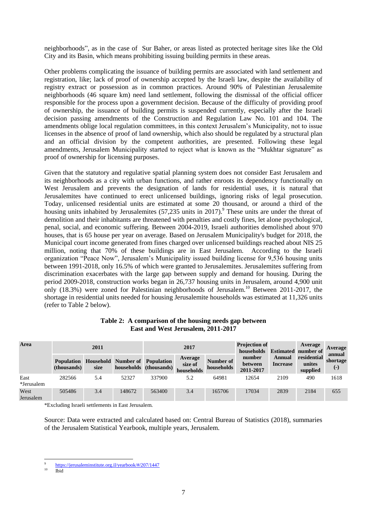neighborhoods", as in the case of Sur Baher, or areas listed as protected heritage sites like the Old City and its Basin, which means prohibiting issuing building permits in these areas.

Other problems complicating the issuance of building permits are associated with land settlement and registration, like; lack of proof of ownership accepted by the Israeli law, despite the availability of registry extract or possession as in common practices. Around 90% of Palestinian Jerusalemite neighborhoods (46 square km) need land settlement, following the dismissal of the official officer responsible for the process upon a government decision. Because of the difficulty of providing proof of ownership, the issuance of building permits is suspended currently, especially after the Israeli decision passing amendments of the Construction and Regulation Law No. 101 and 104. The amendments oblige local regulation committees, in this context Jerusalem's Municipality, not to issue licenses in the absence of proof of land ownership, which also should be regulated by a structural plan and an official division by the competent authorities, are presented. Following these legal amendments, Jerusalem Municipality started to reject what is known as the "Mukhtar signature" as proof of ownership for licensing purposes.

Given that the statutory and regulative spatial planning system does not consider East Jerusalem and its neighborhoods as a city with urban functions, and rather enroots its dependency functionally on West Jerusalem and prevents the designation of lands for residential uses, it is natural that Jerusalemites have continued to erect unlicensed buildings, ignoring risks of legal prosecution. Today, unlicensed residential units are estimated at some 20 thousand, or around a third of the housing units inhabited by Jerusalemites  $(57,235)$  units in 2017).<sup>9</sup> These units are under the threat of demolition and their inhabitants are threatened with penalties and costly fines, let alone psychological, penal, social, and economic suffering. Between 2004-2019, Israeli authorities demolished about 970 houses, that is 65 house per year on average. Based on Jerusalem Municipality's budget for 2018, the Municipal court income generated from fines charged over unlicensed buildings reached about NIS 25 million, noting that 70% of these buildings are in East Jerusalem. According to the Israeli organization "Peace Now", Jerusalem's Municipality issued building license for 9,536 housing units between 1991-2018, only 16.5% of which were granted to Jerusalemites. Jerusalemites suffering from discrimination exacerbates with the large gap between supply and demand for housing. During the period 2009-2018, construction works began in 26,737 housing units in Jerusalem, around 4,900 unit only  $(18.3%)$  were zoned for Palestinian neighborhoods of Jerusalem.<sup>10</sup> Between 2011-2017, the shortage in residential units needed for housing Jerusalemite households was estimated at 11,326 units (refer to Table 2 below).

| Area               | 2011                             |      |                                       | 2017                   |                                  |                         | <b>Projection of</b><br>households |                           | Average<br><b>Estimated</b> number of | Average                     |
|--------------------|----------------------------------|------|---------------------------------------|------------------------|----------------------------------|-------------------------|------------------------------------|---------------------------|---------------------------------------|-----------------------------|
|                    | <b>Population</b><br>(thousands) | size | <b>Household</b> Number of Population | households (thousands) | Average<br>size of<br>households | Number of<br>households | number<br>between<br>2011-2017     | Annual<br><b>Increase</b> | residential<br>unites<br>supplied     | annual<br>shortage<br>$(-)$ |
| East<br>*Jerusalem | 282566                           | 5.4  | 52327                                 | 337900                 | 5.2                              | 64981                   | 12654                              | 2109                      | 490                                   | 1618                        |
| West<br>Jerusalem  | 505486                           | 3.4  | 148672                                | 563400                 | 3.4                              | 165706                  | 17034                              | 2839                      | 2184                                  | 655                         |

# **Table 2: A comparison of the housing needs gap between East and West Jerusalem, 2011-2017**

\*Excluding Israeli settlements in East Jerusalem.

Source: Data were extracted and calculated based on: Central Bureau of Statistics (2018), summaries of the Jerusalem Statistical Yearbook, multiple years, Jerusalem.

 $\overline{a}$ 9 [https://jerusaleminstitute.org.il/yearbook/#/207/1447](https://jerusaleminstitute.org.il/yearbook/#/207/1447 ) 

<sup>10</sup> Ibid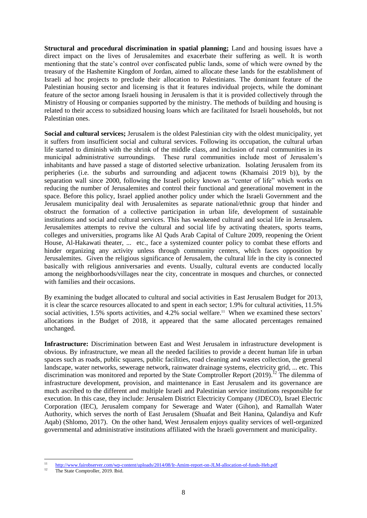**Structural and procedural discrimination in spatial planning;** Land and housing issues have a direct impact on the lives of Jerusalemites and exacerbate their suffering as well. It is worth mentioning that the state's control over confiscated public lands, some of which were owned by the treasury of the Hashemite Kingdom of Jordan, aimed to allocate these lands for the establishment of Israeli ad hoc projects to preclude their allocation to Palestinians. The dominant feature of the Palestinian housing sector and licensing is that it features individual projects, while the dominant feature of the sector among Israeli housing in Jerusalem is that it is provided collectively through the Ministry of Housing or companies supported by the ministry. The methods of building and housing is related to their access to subsidized housing loans which are facilitated for Israeli households, but not Palestinian ones.

**Social and cultural services;** Jerusalem is the oldest Palestinian city with the oldest municipality, yet it suffers from insufficient social and cultural services. Following its occupation, the cultural urban life started to diminish with the shrink of the middle class, and inclusion of rural communities in its municipal administrative surroundings. These rural communities include most of Jerusalem's inhabitants and have passed a stage of distorted selective urbanization. Isolating Jerusalem from its peripheries (i.e. the suburbs and surrounding and adjacent towns (Khamaisi 2019 b)), by the separation wall since 2000, following the Israeli policy known as "center of life" which works on reducing the number of Jerusalemites and control their functional and generational movement in the space. Before this policy, Israel applied another policy under which the Israeli Government and the Jerusalem municipality deal with Jerusalemites as separate national/ethnic group that hinder and obstruct the formation of a collective participation in urban life, development of sustainable institutions and social and cultural services. This has weakened cultural and social life in Jerusalem**.** Jerusalemites attempts to revive the cultural and social life by activating theaters, sports teams, colleges and universities, programs like Al Quds Arab Capital of Culture 2009, reopening the Orient House, Al-Hakawati theater, ... etc., face a systemized counter policy to combat these efforts and hinder organizing any activity unless through community centers, which faces opposition by Jerusalemites. Given the religious significance of Jerusalem, the cultural life in the city is connected basically with religious anniversaries and events. Usually, cultural events are conducted locally among the neighborhoods/villages near the city, concentrate in mosques and churches, or connected with families and their occasions.

By examining the budget allocated to cultural and social activities in East Jerusalem Budget for 2013, it is clear the scarce resources allocated to and spent in each sector; 1.9% for cultural activities, 11.5% social activities, 1.5% sports activities, and 4.2% social welfare.<sup>11</sup> When we examined these sectors' allocations in the Budget of 2018, it appeared that the same allocated percentages remained unchanged.

**Infrastructure:** Discrimination between East and West Jerusalem in infrastructure development is obvious. By infrastructure, we mean all the needed facilities to provide a decent human life in urban spaces such as roads, public squares, public facilities, road cleaning and wastes collection, the general landscape, water networks, sewerage network, rainwater drainage systems, electricity grid, ... etc. This discrimination was monitored and reported by the State Comptroller Report  $(2019)$ .<sup>12</sup> The dilemma of infrastructure development, provision, and maintenance in East Jerusalem and its governance are much ascribed to the different and multiple Israeli and Palestinian service institutions responsible for execution. In this case, they include: Jerusalem District Electricity Company (JDECO), Israel Electric Corporation (IEC), Jerusalem company for Sewerage and Water (Gihon), and Ramallah Water Authority, which serves the north of East Jerusalem (Shuafat and Beit Hanina, Qalandiya and Kufr Aqab) (Shlomo, 2017). On the other hand, West Jerusalem enjoys quality services of well-organized governmental and administrative institutions affiliated with the Israeli government and municipality.

 $11$ <sup>11</sup> http://www.fairobserver.com/wp-content/uploads/2014/08/Ir-Amim-report-on-JLM-allocation-of-funds-Heb.pdf<br><sup>12</sup> The State Country llap 2010 This

The State Comptroller, 2019. Ibid.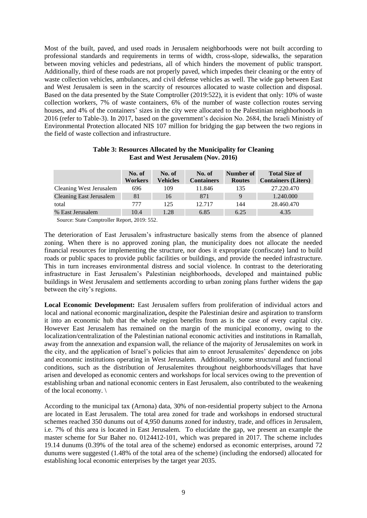Most of the built, paved, and used roads in Jerusalem neighborhoods were not built according to professional standards and requirements in terms of width, cross-slope, sidewalks, the separation between moving vehicles and pedestrians, all of which hinders the movement of public transport. Additionally, third of these roads are not properly paved, which impedes their cleaning or the entry of waste collection vehicles, ambulances, and civil defense vehicles as well. The wide gap between East and West Jerusalem is seen in the scarcity of resources allocated to waste collection and disposal. Based on the data presented by the State Comptroller (2019:522), it is evident that only: 10% of waste collection workers, 7% of waste containers, 6% of the number of waste collection routes serving houses, and 4% of the containers' sizes in the city were allocated to the Palestinian neighborhoods in 2016 (refer to Table-3). In 2017, based on the government's decision No. 2684, the Israeli Ministry of Environmental Protection allocated NIS 107 million for bridging the gap between the two regions in the field of waste collection and infrastructure.

|                                | No. of<br>Workers | No. of<br>Vehicles | No. of<br><b>Containers</b> | Number of<br><b>Routes</b> | <b>Total Size of</b><br><b>Containers (Liters)</b> |
|--------------------------------|-------------------|--------------------|-----------------------------|----------------------------|----------------------------------------------------|
| Cleaning West Jerusalem        | 696               | 109                | 11.846                      | 135                        | 27.220.470                                         |
| <b>Cleaning East Jerusalem</b> | 81                | 16                 | 871                         | 9                          | 1.240.000                                          |
| total                          | 777               | 125                | 12.717                      | 144                        | 28.460.470                                         |
| % East Jerusalem               | 10.4              | 1.28               | 6.85                        | 6.25                       | 4.35                                               |
|                                |                   |                    |                             |                            |                                                    |

## **Table 3: Resources Allocated by the Municipality for Cleaning East and West Jerusalem (Nov. 2016)**

Source: State Comptroller Report, 2019: 552.

The deterioration of East Jerusalem's infrastructure basically stems from the absence of planned zoning. When there is no approved zoning plan, the municipality does not allocate the needed financial resources for implementing the structure, nor does it expropriate (confiscate) land to build roads or public spaces to provide public facilities or buildings, and provide the needed infrastructure. This in turn increases environmental distress and social violence. In contrast to the deteriorating infrastructure in East Jerusalem's Palestinian neighborhoods, developed and maintained public buildings in West Jerusalem and settlements according to urban zoning plans further widens the gap between the city's regions.

**Local Economic Development:** East Jerusalem suffers from proliferation of individual actors and local and national economic marginalization**,** despite the Palestinian desire and aspiration to transform it into an economic hub that the whole region benefits from as is the case of every capital city. However East Jerusalem has remained on the margin of the municipal economy, owing to the localization/centralization of the Palestinian national economic activities and institutions in Ramallah, away from the annexation and expansion wall, the reliance of the majority of Jerusalemites on work in the city, and the application of Israel's policies that aim to enroot Jerusalemites' dependence on jobs and economic institutions operating in West Jerusalem. Additionally, some structural and functional conditions, such as the distribution of Jerusalemites throughout neighborhoods/villages that have arisen and developed as economic centers and workshops for local services owing to the prevention of establishing urban and national economic centers in East Jerusalem, also contributed to the weakening of the local economy. \

According to the municipal tax (Arnona) data, 30% of non-residential property subject to the Arnona are located in East Jerusalem. The total area zoned for trade and workshops in endorsed structural schemes reached 350 dunums out of 4,950 dunums zoned for industry, trade, and offices in Jerusalem, i.e. 7% of this area is located in East Jerusalem. To elucidate the gap, we present an example the master scheme for Sur Baher no. 0124412-101, which was prepared in 2017. The scheme includes 19.14 dunums (0.39% of the total area of the scheme) endorsed as economic enterprises, around 72 dunums were suggested (1.48% of the total area of the scheme) (including the endorsed) allocated for establishing local economic enterprises by the target year 2035.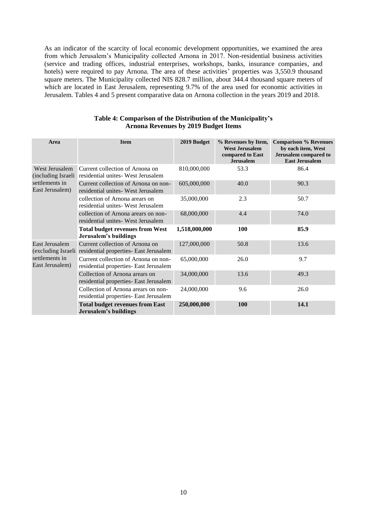As an indicator of the scarcity of local economic development opportunities, we examined the area from which Jerusalem's Municipality collected Arnona in 2017. Non-residential business activities (service and trading offices, industrial enterprises, workshops, banks, insurance companies, and hotels) were required to pay Arnona. The area of these activities' properties was 3,550.9 thousand square meters. The Municipality collected NIS 828.7 million, about 344.4 thousand square meters of which are located in East Jerusalem, representing 9.7% of the area used for economic activities in Jerusalem. Tables 4 and 5 present comparative data on Arnona collection in the years 2019 and 2018.

| Area                                                                      | <b>Item</b>                                                                                  | 2019 Budget   | % Revenues by Item,<br><b>West Jerusalem</b><br>compared to East<br><b>Jerusalem</b> | <b>Comparison % Revenues</b><br>by each item, West<br>Jerusalem compared to<br><b>East Jerusalem</b> |  |
|---------------------------------------------------------------------------|----------------------------------------------------------------------------------------------|---------------|--------------------------------------------------------------------------------------|------------------------------------------------------------------------------------------------------|--|
| West Jerusalem<br>(including Israeli<br>settlements in<br>East Jerusalem) | Current collection of Arnona on<br>residential unites-West Jerusalem                         | 810,000,000   | 53.3                                                                                 | 86.4                                                                                                 |  |
|                                                                           | Current collection of Arnona on non-<br>residential unites - West Jerusalem                  | 605,000,000   | 40.0                                                                                 | 90.3                                                                                                 |  |
|                                                                           | collection of Arnona arears on<br>residential unites - West Jerusalem                        | 35,000,000    | 2.3                                                                                  | 50.7                                                                                                 |  |
|                                                                           | collection of Arnona arears on non-<br>residential unites - West Jerusalem                   | 68,000,000    | 4.4                                                                                  | 74.0                                                                                                 |  |
|                                                                           | <b>Total budget revenues from West</b><br>Jerusalem's buildings                              | 1,518,000,000 | <b>100</b>                                                                           | 85.9                                                                                                 |  |
| East Jerusalem                                                            | Current collection of Arnona on<br>(excluding Israeli residential properties- East Jerusalem | 127,000,000   | 50.8                                                                                 | 13.6                                                                                                 |  |
| settlements in<br>East Jerusalem)                                         | Current collection of Arnona on non-<br>residential properties- East Jerusalem               | 65,000,000    | 26.0                                                                                 | 9.7                                                                                                  |  |
|                                                                           | Collection of Arnona arears on<br>residential properties- East Jerusalem                     | 34,000,000    | 13.6                                                                                 | 49.3                                                                                                 |  |
|                                                                           | Collection of Arnona arears on non-<br>residential properties- East Jerusalem                | 24,000,000    | 9.6                                                                                  | 26.0                                                                                                 |  |
|                                                                           | <b>Total budget revenues from East</b><br>Jerusalem's buildings                              | 250,000,000   | 100                                                                                  | 14.1                                                                                                 |  |

## **Table 4: Comparison of the Distribution of the Municipality's Arnona Revenues by 2019 Budget Items**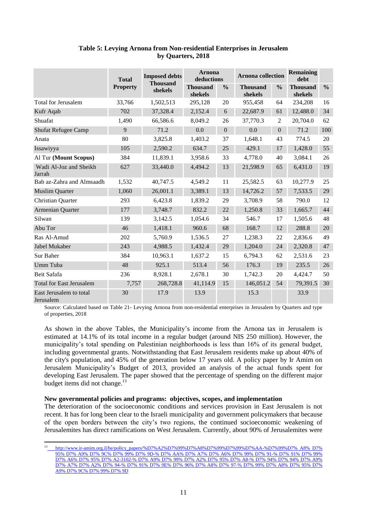|                                      |                 |                            | <b>Arnona</b>              |               |                            |               | <b>Remaining</b>           |               |
|--------------------------------------|-----------------|----------------------------|----------------------------|---------------|----------------------------|---------------|----------------------------|---------------|
|                                      | <b>Total</b>    | <b>Imposed debts</b>       | deductions                 |               | <b>Arnona collection</b>   |               | debt                       |               |
|                                      | <b>Property</b> | <b>Thousand</b><br>shekels | <b>Thousand</b><br>shekels | $\frac{0}{0}$ | <b>Thousand</b><br>shekels | $\frac{6}{6}$ | <b>Thousand</b><br>shekels | $\frac{0}{0}$ |
| <b>Total for Jerusalem</b>           | 33,766          | 1,502,513                  | 295,128                    | 20            | 955,458                    | 64            | 234,208                    | 16            |
| Kufr Aqab                            | 702             | 37,328.4                   | 2,152.4                    | 6             | 22,687.9                   | 61            | 12,488.0                   | 34            |
| Shuafat                              | 1,490           | 66,586.6                   | 8,049.2                    | 26            | 37,770.3                   | 2             | 20,704.0                   | 62            |
| <b>Shufat Refugee Camp</b>           | 9               | 71.2                       | 0.0                        | $\mathbf{0}$  | 0.0                        | $\mathbf{0}$  | 71.2                       | 100           |
| Anata                                | 80              | 3,825.8                    | 1,403.2                    | 37            | 1,648.1                    | 43            | 774.5                      | 20            |
| Issawiyya                            | 105             | 2,590.2                    | 634.7                      | 25            | 429.1                      | 17            | 1,428.0                    | 55            |
| Al Tur (Mount Scopus)                | 384             | 11,839.1                   | 3,958.6                    | 33            | 4,778.0                    | 40            | 3,084.1                    | 26            |
| Wadi Al-Joz and Sheikh<br>Jarrah     | 627             | 33,440.0                   | 4,494.2                    | 13            | 21,598.9                   | 65            | 6,431.0                    | 19            |
| Bab az-Zahra and Almsaadh            | 1,532           | 40,747.5                   | 4,549.2                    | 11            | 25,582.5                   | 63            | 10,277.9                   | 25            |
| <b>Muslim Quarter</b>                | 1,060           | 26,001.1                   | 3,389.1                    | 13            | 14,726.2                   | 57            | 7,533.5                    | 29            |
| Christian Quarter                    | 293             | 6,423.8                    | 1,839.2                    | 29            | 3,708.9                    | 58            | 790.0                      | 12            |
| Armenian Quarter                     | 177             | 3,748.7                    | 832.2                      | 22            | 1,250.8                    | 33            | 1,665.7                    | 44            |
| Silwan                               | 139             | 3,142.5                    | 1,054.6                    | 34            | 546.7                      | 17            | 1,505.6                    | 48            |
| Abu Tor                              | 46              | 1,418.1                    | 960.6                      | 68            | 168.7                      | 12            | 288.8                      | 20            |
| Ras Al-Amud                          | 202             | 5,760.9                    | 1,536.5                    | 27            | 1,238.3                    | 22            | 2,836.6                    | 49            |
| Jabel Mukaber                        | 243             | 4,988.5                    | 1,432.4                    | 29            | 1,204.0                    | 24            | 2,320.8                    | 47            |
| Sur Baher                            | 384             | 10,963.1                   | 1,637.2                    | 15            | 6,794.3                    | 62            | 2,531.6                    | 23            |
| Umm Tuba                             | 48              | 925.1                      | 513.4                      | 56            | 176.3                      | 19            | 235.5                      | 26            |
| Beit Safafa                          | 236             | 8,928.1                    | 2,678.1                    | 30            | 1,742.3                    | 20            | 4,424.7                    | 50            |
| <b>Total for East Jerusalem</b>      | 7,757           | 268,728.8                  | 41,114.9                   | 15            | 146,051.2                  | 54            | 79,391.5                   | 30            |
| East Jerusalem to total<br>Jerusalem | 30              | 17.9                       | 13.9                       |               | 15.3                       |               | 33.9                       |               |

# **Table 5: Levying Arnona from Non-residential Enterprises in Jerusalem by Quarters, 2018**

Source: Calculated based on Table 21- Levying Arnona from non-residential enterprises in Jerusalem by Quarters and type of properties, 2018

As shown in the above Tables, the Municipality's income from the Arnona tax in Jerusalem is estimated at 14.1% of its total income in a regular budget (around NIS 250 million). However, the municipality's total spending on Palestinian neighborhoods is less than 16% of its general budget, including governmental grants. Notwithstanding that East Jerusalem residents make up about 40% of the city's population, and 45% of the generation below 17 years old. A policy paper by Ir Amim on Jerusalem Municipality's Budget of 2013, provided an analysis of the actual funds spent for developing East Jerusalem. The paper showed that the percentage of spending on the different major budget items did not change.<sup>13</sup>

## **New governmental policies and programs: objectives, scopes, and implementation**

**.** 

The deterioration of the socioeconomic conditions and services provision in East Jerusalem is not recent. It has for long been clear to the Israeli municipality and government policymakers that because of the open borders between the city's two regions, the continued socioeconomic weakening of Jerusalemites has direct ramifications on West Jerusalem. Currently, about 90% of Jerusalemites were

<sup>13</sup> [http://www.ir-amim.org.il/he/policy\\_papers/%D7%A2%D7%99%D7%A8%D7%99%D7%99%D7%AA-%D7%99%D7% A8% D7%](file:///C:/Users/haneen.masri/AppData/Local/Microsoft/Windows/INetCache/Content.Outlook/J9RT20YQ/http:/www.ir-amim.org.il/he/policy_papers/×¢××¨×××ª-××%25%20A8%25%20D7%25%2095%25%20D7%25%20A9%25%20D7%25%209C%25%20D7%25%2099%25%20D7%25%209D-%25%20D7%25%20AA%25%20D7%25%20A7%25%20D7%25%20A6%25%20D7%25%2099%25%20D7%25%2091-%25%20D7%25%2091%25%20D7%25%2099%25%20D7%25%20A6%25%20D7%25%2095%25%20D7%25%20A2-3102-%25%20D7%25%20A9%25%20D7%25%2099%25%20D7%25%20A2%25%20D7%25%2095%25%20D7%25%20A8-%25%20D7%25%2094%25%20D7%25%2094%25%20D7%25%20A9%25%20D7%25%20A7%25%20D7%25%20A2%25%20D7%25%2094-%25%20D7%25%2091%25%20D7%25%209E%25%20D7%25%2096%25%20D7%25%20A8%25%20D7%25%2097-%25%20D7%25%2099%25%20D7%25%20A8%25%20D7%25%2095%25%20D7%25%20A9%25%20D7%25%209C%25%20D7%25%2099%25%20D7%25%209D)  [95% D7% A9% D7% 9C% D7% 99% D7% 9D-% D7% AA% D7% A7% D7% A6% D7% 99% D7% 91-% D7% 91% D7% 99%](file:///C:/Users/haneen.masri/AppData/Local/Microsoft/Windows/INetCache/Content.Outlook/J9RT20YQ/http:/www.ir-amim.org.il/he/policy_papers/×¢××¨×××ª-××%25%20A8%25%20D7%25%2095%25%20D7%25%20A9%25%20D7%25%209C%25%20D7%25%2099%25%20D7%25%209D-%25%20D7%25%20AA%25%20D7%25%20A7%25%20D7%25%20A6%25%20D7%25%2099%25%20D7%25%2091-%25%20D7%25%2091%25%20D7%25%2099%25%20D7%25%20A6%25%20D7%25%2095%25%20D7%25%20A2-3102-%25%20D7%25%20A9%25%20D7%25%2099%25%20D7%25%20A2%25%20D7%25%2095%25%20D7%25%20A8-%25%20D7%25%2094%25%20D7%25%2094%25%20D7%25%20A9%25%20D7%25%20A7%25%20D7%25%20A2%25%20D7%25%2094-%25%20D7%25%2091%25%20D7%25%209E%25%20D7%25%2096%25%20D7%25%20A8%25%20D7%25%2097-%25%20D7%25%2099%25%20D7%25%20A8%25%20D7%25%2095%25%20D7%25%20A9%25%20D7%25%209C%25%20D7%25%2099%25%20D7%25%209D)  [D7% A6% D7% 95% D7% A2-3102-% D7% A9% D7% 99% D7% A2% D7% 95% D7% A8-% D7% 94% D7% 94% D7% A9%](file:///C:/Users/haneen.masri/AppData/Local/Microsoft/Windows/INetCache/Content.Outlook/J9RT20YQ/http:/www.ir-amim.org.il/he/policy_papers/×¢××¨×××ª-××%25%20A8%25%20D7%25%2095%25%20D7%25%20A9%25%20D7%25%209C%25%20D7%25%2099%25%20D7%25%209D-%25%20D7%25%20AA%25%20D7%25%20A7%25%20D7%25%20A6%25%20D7%25%2099%25%20D7%25%2091-%25%20D7%25%2091%25%20D7%25%2099%25%20D7%25%20A6%25%20D7%25%2095%25%20D7%25%20A2-3102-%25%20D7%25%20A9%25%20D7%25%2099%25%20D7%25%20A2%25%20D7%25%2095%25%20D7%25%20A8-%25%20D7%25%2094%25%20D7%25%2094%25%20D7%25%20A9%25%20D7%25%20A7%25%20D7%25%20A2%25%20D7%25%2094-%25%20D7%25%2091%25%20D7%25%209E%25%20D7%25%2096%25%20D7%25%20A8%25%20D7%25%2097-%25%20D7%25%2099%25%20D7%25%20A8%25%20D7%25%2095%25%20D7%25%20A9%25%20D7%25%209C%25%20D7%25%2099%25%20D7%25%209D)  [D7% A7% D7% A2% D7% 94-% D7% 91% D7% 9E% D7% 96% D7% A8% D7% 97-% D7% 99% D7% A8% D7%](file:///C:/Users/haneen.masri/AppData/Local/Microsoft/Windows/INetCache/Content.Outlook/J9RT20YQ/http:/www.ir-amim.org.il/he/policy_papers/×¢××¨×××ª-××%25%20A8%25%20D7%25%2095%25%20D7%25%20A9%25%20D7%25%209C%25%20D7%25%2099%25%20D7%25%209D-%25%20D7%25%20AA%25%20D7%25%20A7%25%20D7%25%20A6%25%20D7%25%2099%25%20D7%25%2091-%25%20D7%25%2091%25%20D7%25%2099%25%20D7%25%20A6%25%20D7%25%2095%25%20D7%25%20A2-3102-%25%20D7%25%20A9%25%20D7%25%2099%25%20D7%25%20A2%25%20D7%25%2095%25%20D7%25%20A8-%25%20D7%25%2094%25%20D7%25%2094%25%20D7%25%20A9%25%20D7%25%20A7%25%20D7%25%20A2%25%20D7%25%2094-%25%20D7%25%2091%25%20D7%25%209E%25%20D7%25%2096%25%20D7%25%20A8%25%20D7%25%2097-%25%20D7%25%2099%25%20D7%25%20A8%25%20D7%25%2095%25%20D7%25%20A9%25%20D7%25%209C%25%20D7%25%2099%25%20D7%25%209D) 95% D7% [A9% D7% 9C% D7% 99% D7% 9D](file:///C:/Users/haneen.masri/AppData/Local/Microsoft/Windows/INetCache/Content.Outlook/J9RT20YQ/http:/www.ir-amim.org.il/he/policy_papers/×¢××¨×××ª-××%25%20A8%25%20D7%25%2095%25%20D7%25%20A9%25%20D7%25%209C%25%20D7%25%2099%25%20D7%25%209D-%25%20D7%25%20AA%25%20D7%25%20A7%25%20D7%25%20A6%25%20D7%25%2099%25%20D7%25%2091-%25%20D7%25%2091%25%20D7%25%2099%25%20D7%25%20A6%25%20D7%25%2095%25%20D7%25%20A2-3102-%25%20D7%25%20A9%25%20D7%25%2099%25%20D7%25%20A2%25%20D7%25%2095%25%20D7%25%20A8-%25%20D7%25%2094%25%20D7%25%2094%25%20D7%25%20A9%25%20D7%25%20A7%25%20D7%25%20A2%25%20D7%25%2094-%25%20D7%25%2091%25%20D7%25%209E%25%20D7%25%2096%25%20D7%25%20A8%25%20D7%25%2097-%25%20D7%25%2099%25%20D7%25%20A8%25%20D7%25%2095%25%20D7%25%20A9%25%20D7%25%209C%25%20D7%25%2099%25%20D7%25%209D)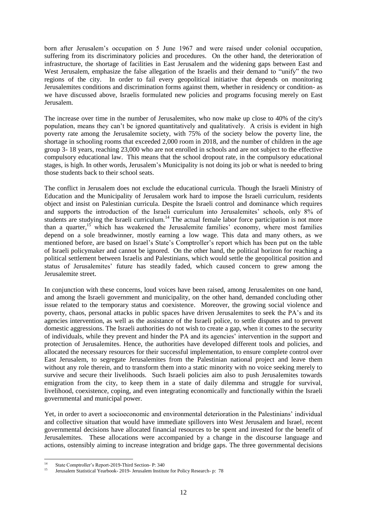born after Jerusalem's occupation on 5 June 1967 and were raised under colonial occupation, suffering from its discriminatory policies and procedures. On the other hand, the deterioration of infrastructure, the shortage of facilities in East Jerusalem and the widening gaps between East and West Jerusalem, emphasize the false allegation of the Israelis and their demand to "unify" the two regions of the city. In order to fail every geopolitical initiative that depends on monitoring Jerusalemites conditions and discrimination forms against them, whether in residency or condition- as we have discussed above, Israelis formulated new policies and programs focusing merely on East Jerusalem.

The increase over time in the number of Jerusalemites, who now make up close to 40% of the city's population, means they can't be ignored quantitatively and qualitatively. A crisis is evident in high poverty rate among the Jerusalemite society, with 75% of the society below the poverty line, the shortage in schooling rooms that exceeded 2,000 room in 2018, and the number of children in the age group 3- 18 years, reaching 23,000 who are not enrolled in schools and are not subject to the effective compulsory educational law. This means that the school dropout rate, in the compulsory educational stages, is high. In other words, Jerusalem's Municipality is not doing its job or what is needed to bring those students back to their school seats.

The conflict in Jerusalem does not exclude the educational curricula. Though the Israeli Ministry of Education and the Municipality of Jerusalem work hard to impose the Israeli curriculum, residents object and insist on Palestinian curricula. Despite the Israeli control and dominance which requires and supports the introduction of the Israeli curriculum into Jerusalemites' schools, only 8% of students are studying the Israeli curriculum.<sup>14</sup> The actual female labor force participation is not more than a quarter,<sup>15</sup> which has weakened the Jerusalemite families' economy, where most families depend on a sole breadwinner, mostly earning a low wage. This data and many others, as we mentioned before, are based on Israel's State's Comptroller's report which has been put on the table of Israeli policymaker and cannot be ignored. On the other hand, the political horizon for reaching a political settlement between Israelis and Palestinians, which would settle the geopolitical position and status of Jerusalemites' future has steadily faded, which caused concern to grew among the Jerusalemite street.

In conjunction with these concerns, loud voices have been raised, among Jerusalemites on one hand, and among the Israeli government and municipality, on the other hand, demanded concluding other issue related to the temporary status and coexistence. Moreover, the growing social violence and poverty, chaos, personal attacks in public spaces have driven Jerusalemites to seek the PA's and its agencies intervention, as well as the assistance of the Israeli police, to settle disputes and to prevent domestic aggressions. The Israeli authorities do not wish to create a gap, when it comes to the security of individuals, while they prevent and hinder the PA and its agencies' intervention in the support and protection of Jerusalemites. Hence, the authorities have developed different tools and policies, and allocated the necessary resources for their successful implementation, to ensure complete control over East Jerusalem, to segregate Jerusalemites from the Palestinian national project and leave them without any role therein, and to transform them into a static minority with no voice seeking merely to survive and secure their livelihoods. Such Israeli policies aim also to push Jerusalemites towards emigration from the city, to keep them in a state of daily dilemma and struggle for survival, livelihood, coexistence, coping, and even integrating economically and functionally within the Israeli governmental and municipal power.

Yet, in order to avert a socioeconomic and environmental deterioration in the Palestinians' individual and collective situation that would have immediate spillovers into West Jerusalem and Israel, recent governmental decisions have allocated financial resources to be spent and invested for the benefit of Jerusalemites. These allocations were accompanied by a change in the discourse language and actions, ostensibly aiming to increase integration and bridge gaps. The three governmental decisions

 $14$ <sup>14</sup> State Comptroller's Report-2019-Third Section- P: 340

<sup>15</sup> Jerusalem Statistical Yearbook- 2019- Jerusalem Institute for Policy Research- p: 78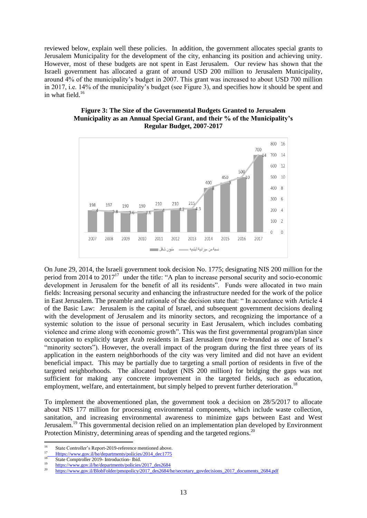reviewed below, explain well these policies. In addition, the government allocates special grants to Jerusalem Municipality for the development of the city, enhancing its position and achieving unity. However, most of these budgets are not spent in East Jerusalem. Our review has shown that the Israeli government has allocated a grant of around USD 200 million to Jerusalem Municipality, around 4% of the municipality's budget in 2007. This grant was increased to about USD 700 million in 2017, i.e. 14% of the municipality's budget (see Figure 3), and specifies how it should be spent and in what field.<sup>16</sup>





On June 29, 2014, the Israeli government took decision No. 1775; designating NIS 200 million for the period from 2014 to  $2017<sup>17</sup>$  under the title: "A plan to increase personal security and socio-economic development in Jerusalem for the benefit of all its residents". Funds were allocated in two main fields: Increasing personal security and enhancing the infrastructure needed for the work of the police in East Jerusalem. The preamble and rationale of the decision state that: " In accordance with Article 4 of the Basic Law: Jerusalem is the capital of Israel, and subsequent government decisions dealing with the development of Jerusalem and its minority sectors, and recognizing the importance of a systemic solution to the issue of personal security in East Jerusalem, which includes combating violence and crime along with economic growth". This was the first governmental program/plan since occupation to explicitly target Arab residents in East Jerusalem (now re-branded as one of Israel's "minority sectors"). However, the overall impact of the program during the first three years of its application in the eastern neighborhoods of the city was very limited and did not have an evident beneficial impact. This may be partially due to targeting a small portion of residents in five of the targeted neighborhoods. The allocated budget (NIS 200 million) for bridging the gaps was not sufficient for making any concrete improvement in the targeted fields, such as education, employment, welfare, and entertainment, but simply helped to prevent further deterioration.<sup>18</sup>

To implement the abovementioned plan, the government took a decision on 28/5/2017 to allocate about NIS 177 million for processing environmental components, which include waste collection, sanitation, and increasing environmental awareness to minimize gaps between East and West Jerusalem.<sup>19</sup> This governmental decision relied on an implementation plan developed by Environment Protection Ministry, determining areas of spending and the targeted regions.<sup>20</sup>

 $\frac{1}{16}$ State Controller's Report-2019-reference mentioned above.

<sup>&</sup>lt;sup>17</sup> Https://www.gov.il/he/departments/policies/2014\_dec1775

<sup>&</sup>lt;sup>18</sup> State Comptroller 2019- Introduction- Ibid.

 $\frac{19}{20}$  https://www.gov.il/he/departments/policies/2017\_des2684

https://www.gov.il/BlobFolder/pmopolicy/2017\_des2684/he/secretary\_govdecisions\_2017\_documents\_2684.pdf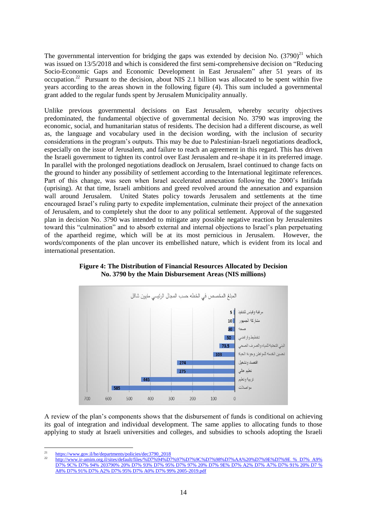The governmental intervention for bridging the gaps was extended by decision No.  $(3790)^{21}$  which was issued on 13/5/2018 and which is considered the first semi-comprehensive decision on "Reducing Socio-Economic Gaps and Economic Development in East Jerusalem" after 51 years of its occupation.<sup>22</sup> Pursuant to the decision, about NIS 2.1 billion was allocated to be spent within five years according to the areas shown in the following figure (4). This sum included a governmental grant added to the regular funds spent by Jerusalem Municipality annually.

Unlike previous governmental decisions on East Jerusalem, whereby security objectives predominated, the fundamental objective of governmental decision No. 3790 was improving the economic, social, and humanitarian status of residents. The decision had a different discourse, as well as, the language and vocabulary used in the decision wording, with the inclusion of security considerations in the program's outputs. This may be due to Palestinian-Israeli negotiations deadlock, especially on the issue of Jerusalem, and failure to reach an agreement in this regard. This has driven the Israeli government to tighten its control over East Jerusalem and re-shape it in its preferred image. In parallel with the prolonged negotiations deadlock on Jerusalem, Israel continued to change facts on the ground to hinder any possibility of settlement according to the International legitimate references. Part of this change, was seen when Israel accelerated annexation following the 2000's Intifada (uprising). At that time, Israeli ambitions and greed revolved around the annexation and expansion wall around Jerusalem. United States policy towards Jerusalem and settlements at the time encouraged Israel's ruling party to expedite implementation, culminate their project of the annexation of Jerusalem, and to completely shut the door to any political settlement. Approval of the suggested plan in decision No. 3790 was intended to mitigate any possible negative reaction by Jerusalemites toward this "culmination" and to absorb external and internal objections to Israel's plan perpetuating of the apartheid regime, which will be at its most pernicious in Jerusalem. However, the words/components of the plan uncover its embellished nature, which is evident from its local and international presentation.



**Figure 4: The Distribution of Financial Resources Allocated by Decision No. 3790 by the Main Disbursement Areas (NIS millions)**

A review of the plan's components shows that the disbursement of funds is conditional on achieving its goal of integration and individual development. The same applies to allocating funds to those applying to study at Israeli universities and colleges, and subsidies to schools adopting the Israeli

 $\overline{21}$ https://www.gov.il/he/departments/policies/dec3790\_2018

<sup>22</sup> [http://www.ir-amim.org.il/sites/default/files/%D7%94%D7%97%D7%9C%D7%98%D7%AA%20%D7%9E%D7%9E % D7% A9%](http://www.ir-amim.org.il/sites/default/files/%D7%94%D7%97%D7%9C%D7%98%D7%AA%20%D7%9E%D7%9E%20%25%20D7%25%20A9%25%20D7%25%209C%25%20D7%25%2094%25%20203790%25%2020%25%20D7%25%2093%25%20D7%25%2095%25%20D7%25%2097%25%2020%25%20D7%25%209E%25%20D7%25%20A2%25%20D7%25%20A7%25%20D7%25%2091%25%2020%25%20D7%20%25%20A8%25%20D7%25%2091%25%20D7%25%20A2%25%20D7%25%2095%25%20D7%25%20A0%25%20D7%25%2099%25%202005-2019.pdf)  [D7% 9C% D7% 94% 203790% 20% D7% 93% D7% 95% D7% 97% 20% D7% 9E% D7% A2% D7% A7% D7% 91% 20% D7 %](http://www.ir-amim.org.il/sites/default/files/%D7%94%D7%97%D7%9C%D7%98%D7%AA%20%D7%9E%D7%9E%20%25%20D7%25%20A9%25%20D7%25%209C%25%20D7%25%2094%25%20203790%25%2020%25%20D7%25%2093%25%20D7%25%2095%25%20D7%25%2097%25%2020%25%20D7%25%209E%25%20D7%25%20A2%25%20D7%25%20A7%25%20D7%25%2091%25%2020%25%20D7%20%25%20A8%25%20D7%25%2091%25%20D7%25%20A2%25%20D7%25%2095%25%20D7%25%20A0%25%20D7%25%2099%25%202005-2019.pdf)  [A8% D7% 91% D7% A2% D7% 95% D7% A0% D7% 99% 2005-2019.pdf](http://www.ir-amim.org.il/sites/default/files/%D7%94%D7%97%D7%9C%D7%98%D7%AA%20%D7%9E%D7%9E%20%25%20D7%25%20A9%25%20D7%25%209C%25%20D7%25%2094%25%20203790%25%2020%25%20D7%25%2093%25%20D7%25%2095%25%20D7%25%2097%25%2020%25%20D7%25%209E%25%20D7%25%20A2%25%20D7%25%20A7%25%20D7%25%2091%25%2020%25%20D7%20%25%20A8%25%20D7%25%2091%25%20D7%25%20A2%25%20D7%25%2095%25%20D7%25%20A0%25%20D7%25%2099%25%202005-2019.pdf)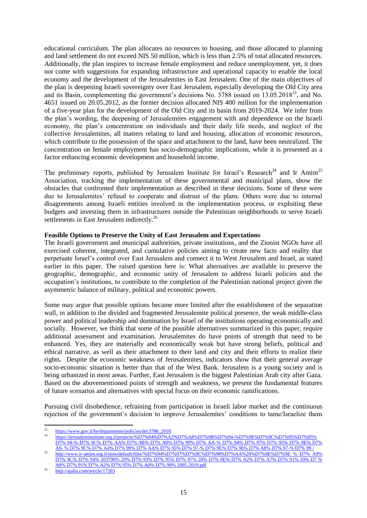educational curriculum. The plan allocates no resources to housing, and those allocated to planning and land settlement do not exceed NIS 50 million, which is less than 2.5% of total allocated resources. Additionally, the plan inspires to increase female employment and reduce unemployment, yet, it does not come with suggestions for expanding infrastructure and operational capacity to enable the local economy and the development of the Jerusalemites in East Jerusalem. One of the main objectives of the plan is deepening Israeli sovereignty over East Jerusalem, especially developing the Old City area and its Basin, complementing the government's decisions No.  $3788$  issued on  $13.05.2018^{23}$ , and No. 4651 issued on 20.05.2012, as the former decision allocated NIS 400 million for the implementation of a five-year plan for the development of the Old City and its basin from 2019-2024. We infer from the plan's wording, the deepening of Jerusalemites engagement with and dependence on the Israeli economy, the plan's concentration on individuals and their daily life needs, and neglect of the collective Jerusalemites, all matters relating to land and housing, allocation of economic resources, which contribute to the possession of the space and attachment to the land, have been neutralized. The concentration on female employment has socio-demographic implications, while it is presented as a factor enhancing economic development and household income.

The preliminary reports, published by Jerusalem Institute for Israel's Research<sup>24</sup> and Ir Amim<sup>25</sup> Association, tracking the implementation of these governmental and municipal plans, show the obstacles that confronted their implementation as described in these decisions. Some of these were due to Jerusalemites' refusal to cooperate and distrust of the plans. Others were due to internal disagreements among Israeli entities involved in the implementation process, or exploiting these budgets and investing them in infrastructures outside the Palestinian neighborhoods to serve Israeli settlements in East Jerusalem indirectly.<sup>26</sup>

#### **Feasible Options to Preserve the Unity of East Jerusalem and Expectations**

The Israeli government and municipal authorities, private institutions, and the Zionist NGOs have all exercised coherent, integrated, and cumulative policies aiming to create new facts and reality that perpetuate Israel's control over East Jerusalem and connect it to West Jerusalem and Israel, as stated earlier in this paper. The raised question here is: What alternatives are available to preserve the geographic, demographic, and economic unity of Jerusalem to address Israeli policies and the occupation's institutions, to contribute to the completion of the Palestinian national project given the asymmetric balance of military, political and economic powers.

Some may argue that possible options became more limited after the establishment of the separation wall, in addition to the divided and fragmented Jerusalemite political presence, the weak middle-class power and political leadership and domination by Israel of the institutions operating economically and socially. However, we think that some of the possible alternatives summarized in this paper, require additional assessment and examination. Jerusalemites do have points of strength that need to be enhanced. Yes, they are materially and economically weak but have strong beliefs, political and ethical narrative, as well as their attachment to their land and city and their efforts to realize their rights. Despite the economic weakness of Jerusalemites, indicators show that their general average socio-economic situation is better than that of the West Bank. Jerusalem is a young society and is being urbanized in most areas. Further, East Jerusalem is the biggest Palestinian Arab city after Gaza. Based on the abovementioned points of strength and weakness, we present the fundamental features of future scenarios and alternatives with special focus on their economic ramifications.

Pursuing civil disobedience, refraining from participation in Israeli labor market and the continuous rejection of the government's decision to improve Jerusalemites' conditions to tame/Israelize them

 $\overline{2}$  $\frac{23}{24}$  https://www.gov.il/he/departments/policies/dec3788\_2018

<sup>24</sup> [https://jerusaleminstitute.org.il/projects/%D7%94%D7%A2%D7%A8%D7%9B%D7%94-%D7%9E%D7%9C%D7%95%D7%95%](https://jerusaleminstitute.org.il/projects/%D7%94%D7%A2%D7%A8%D7%9B%D7%94-%D7%9E%D7%9C%D7%95%D7%95%25%20D7%25%2094-%25%20D7%25%209C%25%20D7%25%20AA%25%20D7%25%209B%25%20D7%25%20A0%25%20D7%25%2099%25%20D7%25%20AA-%25%20D7%25%2094%25%20D7%25%2097%25%20D7%25%2095%25%20D7%25%209E%25%20D7%25%20A9-%20%25%20D7%25%209C%25%20D7%25%20A4%25%20D7%25%2099%25%20D7%25%20AA%25%20D7%25%2095%25%20D7%25%2097-%25%20D7%25%209E%25%20D7%25%2096%25%20D7%25%20A8%25%20D7%25%2097-%25%20D7%25%2099%20/)  [D7% 94-% D7% 9C% D7% AA% D7% 9B% D7% A0% D7% 99% D7% AA-% D7% 94% D7% 97% D7% 95% D7% 9E% D7%](https://jerusaleminstitute.org.il/projects/%D7%94%D7%A2%D7%A8%D7%9B%D7%94-%D7%9E%D7%9C%D7%95%D7%95%25%20D7%25%2094-%25%20D7%25%209C%25%20D7%25%20AA%25%20D7%25%209B%25%20D7%25%20A0%25%20D7%25%2099%25%20D7%25%20AA-%25%20D7%25%2094%25%20D7%25%2097%25%20D7%25%2095%25%20D7%25%209E%25%20D7%25%20A9-%20%25%20D7%25%209C%25%20D7%25%20A4%25%20D7%25%2099%25%20D7%25%20AA%25%20D7%25%2095%25%20D7%25%2097-%25%20D7%25%209E%25%20D7%25%2096%25%20D7%25%20A8%25%20D7%25%2097-%25%20D7%25%2099%20/)  A9- [% D7% 9C% D7% A4% D7% 99% D7% AA% D7% 95% D7% 97-% D7% 9E% D7% 96% D7% A8% D7% 97-% D7% 99 /](https://jerusaleminstitute.org.il/projects/%D7%94%D7%A2%D7%A8%D7%9B%D7%94-%D7%9E%D7%9C%D7%95%D7%95%25%20D7%25%2094-%25%20D7%25%209C%25%20D7%25%20AA%25%20D7%25%209B%25%20D7%25%20A0%25%20D7%25%2099%25%20D7%25%20AA-%25%20D7%25%2094%25%20D7%25%2097%25%20D7%25%2095%25%20D7%25%209E%25%20D7%25%20A9-%20%25%20D7%25%209C%25%20D7%25%20A4%25%20D7%25%2099%25%20D7%25%20AA%25%20D7%25%2095%25%20D7%25%2097-%25%20D7%25%209E%25%20D7%25%2096%25%20D7%25%20A8%25%20D7%25%2097-%25%20D7%25%2099%20/) 

<sup>25</sup> [http://www.ir-amim.org.il/sites/default/files/%D7%94%D7%97%D7%9C%D7%98%D7%AA%20%D7%9E%D7%9E % D7% A9%](http://www.ir-amim.org.il/sites/default/files/%D7%94%D7%97%D7%9C%D7%98%D7%AA%20%D7%9E%D7%9E%20%25%20D7%25%20A9%25%20D7%25%209C%25%20D7%25%2094%25%20203790%25%2020%25%20D7%25%2093%25%20D7%25%2095%25%20D7%25%2097%25%2020%25%20D7%25%209E%25%20D7%25%20A2%25%20D7%25%20A7%25%20D7%25%2091%25%2020%25%20D7%20%25%20A8%25%20D7%25%2091%25%20D7%25%20A2%25%20D7%25%2095%25%20D7%25%20A0%25%20D7%25%2099%25%202005-2019.pdf)  [D7% 9C% D7% 94% 203790% 20% D7% 93% D7% 95% D7% 97% 20% D7% 9E% D7% A2% D7% A7% D7% 91% 20% D7 %](http://www.ir-amim.org.il/sites/default/files/%D7%94%D7%97%D7%9C%D7%98%D7%AA%20%D7%9E%D7%9E%20%25%20D7%25%20A9%25%20D7%25%209C%25%20D7%25%2094%25%20203790%25%2020%25%20D7%25%2093%25%20D7%25%2095%25%20D7%25%2097%25%2020%25%20D7%25%209E%25%20D7%25%20A2%25%20D7%25%20A7%25%20D7%25%2091%25%2020%25%20D7%20%25%20A8%25%20D7%25%2091%25%20D7%25%20A2%25%20D7%25%2095%25%20D7%25%20A0%25%20D7%25%2099%25%202005-2019.pdf)  [A8% D7% 91% D7% A2% D7% 95% D7% A0% D7% 99% 2005-2019.pdf](http://www.ir-amim.org.il/sites/default/files/%D7%94%D7%97%D7%9C%D7%98%D7%AA%20%D7%9E%D7%9E%20%25%20D7%25%20A9%25%20D7%25%209C%25%20D7%25%2094%25%20203790%25%2020%25%20D7%25%2093%25%20D7%25%2095%25%20D7%25%2097%25%2020%25%20D7%25%209E%25%20D7%25%20A2%25%20D7%25%20A7%25%20D7%25%2091%25%2020%25%20D7%20%25%20A8%25%20D7%25%2091%25%20D7%25%20A2%25%20D7%25%2095%25%20D7%25%20A0%25%20D7%25%2099%25%202005-2019.pdf) 

<sup>26</sup> <http://ajalia.com/article/17203>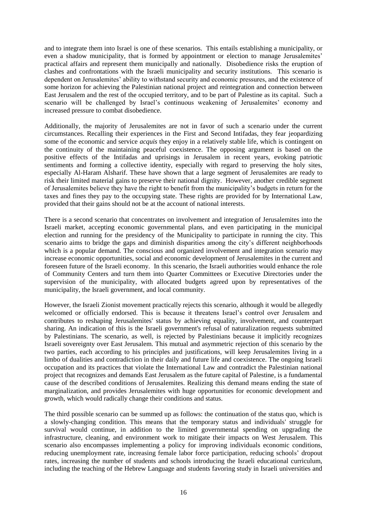and to integrate them into Israel is one of these scenarios. This entails establishing a municipality, or even a shadow municipality, that is formed by appointment or election to manage Jerusalemites' practical affairs and represent them municipally and nationally. Disobedience risks the eruption of clashes and confrontations with the Israeli municipality and security institutions. This scenario is dependent on Jerusalemites' ability to withstand security and economic pressures, and the existence of some horizon for achieving the Palestinian national project and reintegration and connection between East Jerusalem and the rest of the occupied territory, and to be part of Palestine as its capital. Such a scenario will be challenged by Israel's continuous weakening of Jerusalemites' economy and increased pressure to combat disobedience.

Additionally, the majority of Jerusalemites are not in favor of such a scenario under the current circumstances. Recalling their experiences in the First and Second Intifadas, they fear jeopardizing some of the economic and service *acquis* they enjoy in a relatively stable life, which is contingent on the continuity of the maintaining peaceful coexistence. The opposing argument is based on the positive effects of the Intifadas and uprisings in Jerusalem in recent years, evoking patriotic sentiments and forming a collective identity, especially with regard to preserving the holy sites, especially Al-Haram Alsharif. These have shown that a large segment of Jerusalemites are ready to risk their limited material gains to preserve their national dignity. However, another credible segment of Jerusalemites believe they have the right to benefit from the municipality's budgets in return for the taxes and fines they pay to the occupying state. These rights are provided for by International Law, provided that their gains should not be at the account of national interests.

There is a second scenario that concentrates on involvement and integration of Jerusalemites into the Israeli market, accepting economic governmental plans, and even participating in the municipal election and running for the presidency of the Municipality to participate in running the city. This scenario aims to bridge the gaps and diminish disparities among the city's different neighborhoods which is a popular demand. The conscious and organized involvement and integration scenario may increase economic opportunities, social and economic development of Jerusalemites in the current and foreseen future of the Israeli economy. In this scenario, the Israeli authorities would enhance the role of Community Centers and turn them into Quarter Committees or Executive Directories under the supervision of the municipality, with allocated budgets agreed upon by representatives of the municipality, the Israeli government, and local community.

However, the Israeli Zionist movement practically rejects this scenario, although it would be allegedly welcomed or officially endorsed. This is because it threatens Israel's control over Jerusalem and contributes to reshaping Jerusalemites' status by achieving equality, involvement, and counterpart sharing. An indication of this is the Israeli government's refusal of naturalization requests submitted by Palestinians. The scenario, as well, is rejected by Palestinians because it implicitly recognizes Israeli sovereignty over East Jerusalem. This mutual and asymmetric rejection of this scenario by the two parties, each according to his principles and justifications, will keep Jerusalemites living in a limbo of dualities and contradiction in their daily and future life and coexistence. The ongoing Israeli occupation and its practices that violate the International Law and contradict the Palestinian national project that recognizes and demands East Jerusalem as the future capital of Palestine, is a fundamental cause of the described conditions of Jerusalemites. Realizing this demand means ending the state of marginalization, and provides Jerusalemites with huge opportunities for economic development and growth, which would radically change their conditions and status.

The third possible scenario can be summed up as follows: the continuation of the status quo, which is a slowly-changing condition. This means that the temporary status and individuals' struggle for survival would continue, in addition to the limited governmental spending on upgrading the infrastructure, cleaning, and environment work to mitigate their impacts on West Jerusalem. This scenario also encompasses implementing a policy for improving individuals economic conditions, reducing unemployment rate, increasing female labor force participation, reducing schools' dropout rates, increasing the number of students and schools introducing the Israeli educational curriculum, including the teaching of the Hebrew Language and students favoring study in Israeli universities and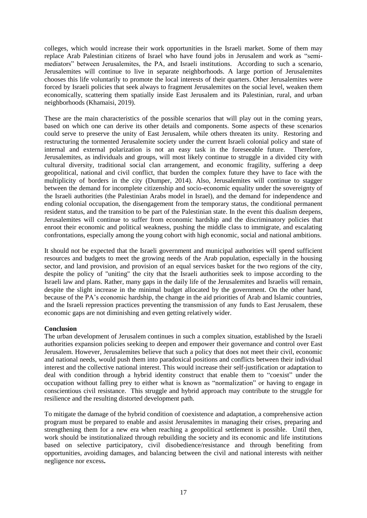colleges, which would increase their work opportunities in the Israeli market. Some of them may replace Arab Palestinian citizens of Israel who have found jobs in Jerusalem and work as "semimediators" between Jerusalemites, the PA, and Israeli institutions. According to such a scenario, Jerusalemites will continue to live in separate neighborhoods. A large portion of Jerusalemites chooses this life voluntarily to promote the local interests of their quarters. Other Jerusalemites were forced by Israeli policies that seek always to fragment Jerusalemites on the social level, weaken them economically, scattering them spatially inside East Jerusalem and its Palestinian, rural, and urban neighborhoods (Khamaisi, 2019).

These are the main characteristics of the possible scenarios that will play out in the coming years, based on which one can derive its other details and components. Some aspects of these scenarios could serve to preserve the unity of East Jerusalem, while others threaten its unity. Restoring and restructuring the tormented Jerusalemite society under the current Israeli colonial policy and state of internal and external polarization is not an easy task in the foreseeable future. Therefore, Jerusalemites, as individuals and groups, will most likely continue to struggle in a divided city with cultural diversity, traditional social clan arrangement, and economic fragility, suffering a deep geopolitical, national and civil conflict, that burden the complex future they have to face with the multiplicity of borders in the city (Dumper, 2014). Also, Jerusalemites will continue to stagger between the demand for incomplete citizenship and socio-economic equality under the sovereignty of the Israeli authorities (the Palestinian Arabs model in Israel), and the demand for independence and ending colonial occupation, the disengagement from the temporary status, the conditional permanent resident status, and the transition to be part of the Palestinian state. In the event this dualism deepens, Jerusalemites will continue to suffer from economic hardship and the discriminatory policies that enroot their economic and political weakness, pushing the middle class to immigrate, and escalating confrontations, especially among the young cohort with high economic, social and national ambitions.

It should not be expected that the Israeli government and municipal authorities will spend sufficient resources and budgets to meet the growing needs of the Arab population, especially in the housing sector, and land provision, and provision of an equal services basket for the two regions of the city, despite the policy of "uniting" the city that the Israeli authorities seek to impose according to the Israeli law and plans. Rather, many gaps in the daily life of the Jerusalemites and Israelis will remain, despite the slight increase in the minimal budget allocated by the government. On the other hand, because of the PA's economic hardship, the change in the aid priorities of Arab and Islamic countries, and the Israeli repression practices preventing the transmission of any funds to East Jerusalem, these economic gaps are not diminishing and even getting relatively wider.

## **Conclusion**

The urban development of Jerusalem continues in such a complex situation, established by the Israeli authorities expansion policies seeking to deepen and empower their governance and control over East Jerusalem. However, Jerusalemites believe that such a policy that does not meet their civil, economic and national needs, would push them into paradoxical positions and conflicts between their individual interest and the collective national interest. This would increase their self-justification or adaptation to deal with condition through a hybrid identity construct that enable them to "coexist" under the occupation without falling prey to either what is known as "normalization" or having to engage in conscientious civil resistance. This struggle and hybrid approach may contribute to the struggle for resilience and the resulting distorted development path.

To mitigate the damage of the hybrid condition of coexistence and adaptation, a comprehensive action program must be prepared to enable and assist Jerusalemites in managing their crises, preparing and strengthening them for a new era when reaching a geopolitical settlement is possible. Until then, work should be institutionalized through rebuilding the society and its economic and life institutions based on selective participatory, civil disobedience/resistance and through benefiting from opportunities, avoiding damages, and balancing between the civil and national interests with neither negligence nor excess**.**